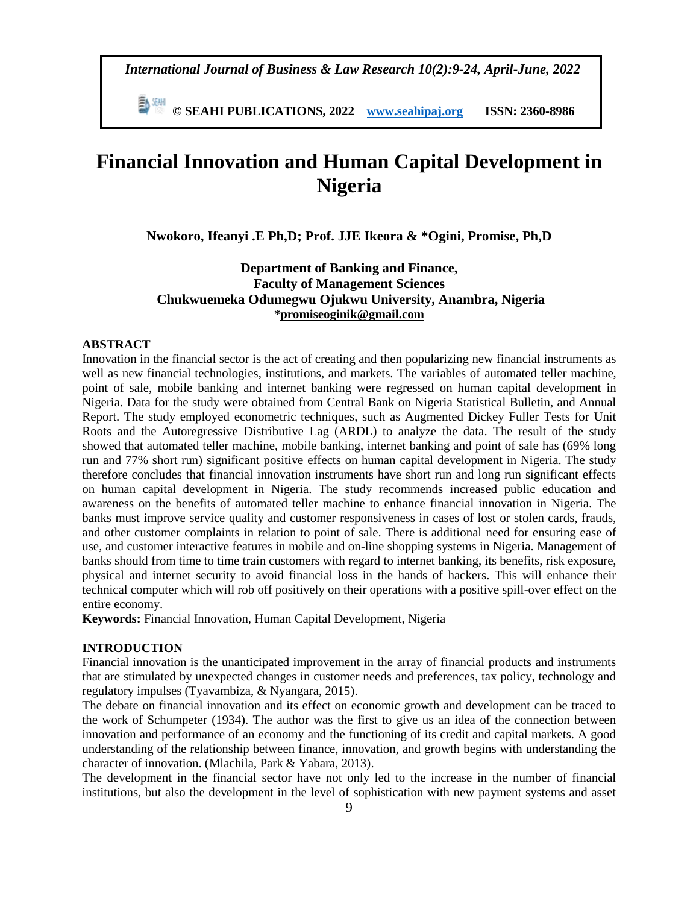*International Journal of Business & Law Research 10(2):9-24, April-June, 2022*

 **© SEAHI PUBLICATIONS, 2022 [www.seahipaj.org](http://www.seahipaj.org/) ISSN: 2360-8986**

# **Financial Innovation and Human Capital Development in Nigeria**

**Nwokoro, Ifeanyi .E Ph,D; Prof. JJE Ikeora & \*Ogini, Promise, Ph,D**

# **Department of Banking and Finance, Faculty of Management Sciences Chukwuemeka Odumegwu Ojukwu University, Anambra, Nigeria [\\*promiseoginik@gmail.com](mailto:promiseoginik@gmail.com)**

# **ABSTRACT**

Innovation in the financial sector is the act of creating and then popularizing new financial instruments as well as new financial technologies, institutions, and markets. The variables of automated teller machine, point of sale, mobile banking and internet banking were regressed on human capital development in Nigeria. Data for the study were obtained from Central Bank on Nigeria Statistical Bulletin, and Annual Report. The study employed econometric techniques, such as Augmented Dickey Fuller Tests for Unit Roots and the Autoregressive Distributive Lag (ARDL) to analyze the data. The result of the study showed that automated teller machine, mobile banking, internet banking and point of sale has (69% long run and 77% short run) significant positive effects on human capital development in Nigeria. The study therefore concludes that financial innovation instruments have short run and long run significant effects on human capital development in Nigeria. The study recommends increased public education and awareness on the benefits of automated teller machine to enhance financial innovation in Nigeria. The banks must improve service quality and customer responsiveness in cases of lost or stolen cards, frauds, and other customer complaints in relation to point of sale. There is additional need for ensuring ease of use, and customer interactive features in mobile and on-line shopping systems in Nigeria. Management of banks should from time to time train customers with regard to internet banking, its benefits, risk exposure, physical and internet security to avoid financial loss in the hands of hackers. This will enhance their technical computer which will rob off positively on their operations with a positive spill-over effect on the entire economy.

**Keywords:** Financial Innovation, Human Capital Development, Nigeria

#### **INTRODUCTION**

Financial innovation is the unanticipated improvement in the array of financial products and instruments that are stimulated by unexpected changes in customer needs and preferences, tax policy, technology and regulatory impulses (Tyavambiza, & Nyangara, 2015).

The debate on financial innovation and its effect on economic growth and development can be traced to the work of Schumpeter (1934). The author was the first to give us an idea of the connection between innovation and performance of an economy and the functioning of its credit and capital markets. A good understanding of the relationship between finance, innovation, and growth begins with understanding the character of innovation. (Mlachila, Park & Yabara, 2013).

The development in the financial sector have not only led to the increase in the number of financial institutions, but also the development in the level of sophistication with new payment systems and asset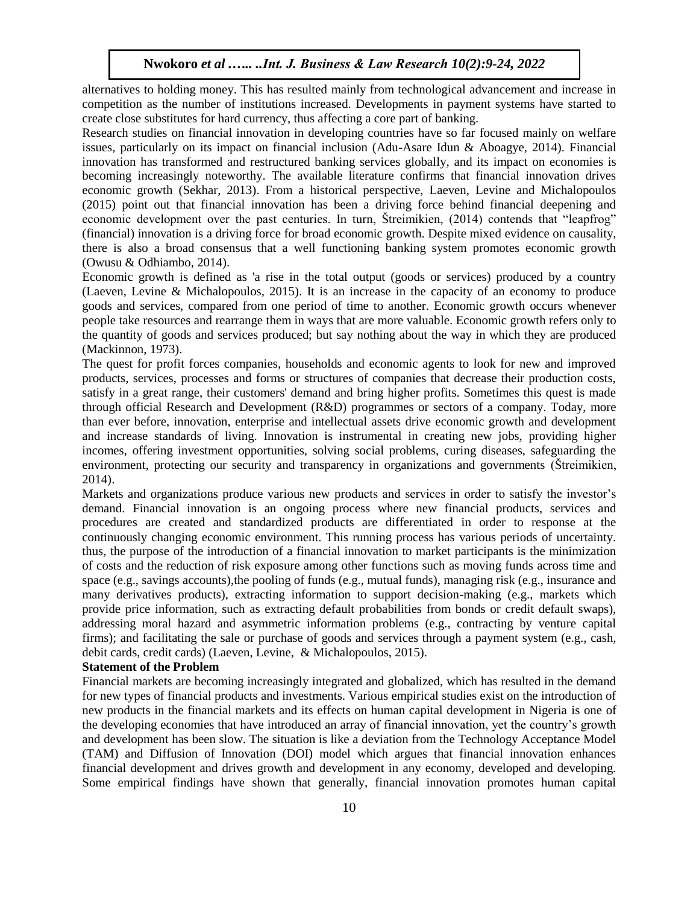alternatives to holding money. This has resulted mainly from technological advancement and increase in competition as the number of institutions increased. Developments in payment systems have started to create close substitutes for hard currency, thus affecting a core part of banking.

Research studies on financial innovation in developing countries have so far focused mainly on welfare issues, particularly on its impact on financial inclusion (Adu-Asare Idun & Aboagye, 2014). Financial innovation has transformed and restructured banking services globally, and its impact on economies is becoming increasingly noteworthy. The available literature confirms that financial innovation drives economic growth (Sekhar, 2013). From a historical perspective, Laeven, Levine and Michalopoulos (2015) point out that financial innovation has been a driving force behind financial deepening and economic development over the past centuries. In turn, Štreimikien, (2014) contends that "leapfrog" (financial) innovation is a driving force for broad economic growth. Despite mixed evidence on causality, there is also a broad consensus that a well functioning banking system promotes economic growth (Owusu & Odhiambo, 2014).

Economic growth is defined as 'a rise in the total output (goods or services) produced by a country (Laeven, Levine & Michalopoulos, 2015). It is an increase in the capacity of an economy to produce goods and services, compared from one period of time to another. Economic growth occurs whenever people take resources and rearrange them in ways that are more valuable. Economic growth refers only to the quantity of goods and services produced; but say nothing about the way in which they are produced (Mackinnon, 1973).

The quest for profit forces companies, households and economic agents to look for new and improved products, services, processes and forms or structures of companies that decrease their production costs, satisfy in a great range, their customers' demand and bring higher profits. Sometimes this quest is made through official Research and Development (R&D) programmes or sectors of a company. Today, more than ever before, innovation, enterprise and intellectual assets drive economic growth and development and increase standards of living. Innovation is instrumental in creating new jobs, providing higher incomes, offering investment opportunities, solving social problems, curing diseases, safeguarding the environment, protecting our security and transparency in organizations and governments (Štreimikien, 2014).

Markets and organizations produce various new products and services in order to satisfy the investor's demand. Financial innovation is an ongoing process where new financial products, services and procedures are created and standardized products are differentiated in order to response at the continuously changing economic environment. This running process has various periods of uncertainty. thus, the purpose of the introduction of a financial innovation to market participants is the minimization of costs and the reduction of risk exposure among other functions such as moving funds across time and space (e.g., savings accounts),the pooling of funds (e.g., mutual funds), managing risk (e.g., insurance and many derivatives products), extracting information to support decision-making (e.g., markets which provide price information, such as extracting default probabilities from bonds or credit default swaps), addressing moral hazard and asymmetric information problems (e.g., contracting by venture capital firms); and facilitating the sale or purchase of goods and services through a payment system (e.g., cash, debit cards, credit cards) (Laeven, Levine, & Michalopoulos, 2015).

#### **Statement of the Problem**

Financial markets are becoming increasingly integrated and globalized, which has resulted in the demand for new types of financial products and investments. Various empirical studies exist on the introduction of new products in the financial markets and its effects on human capital development in Nigeria is one of the developing economies that have introduced an array of financial innovation, yet the country's growth and development has been slow. The situation is like a deviation from the Technology Acceptance Model (TAM) and Diffusion of Innovation (DOI) model which argues that financial innovation enhances financial development and drives growth and development in any economy, developed and developing. Some empirical findings have shown that generally, financial innovation promotes human capital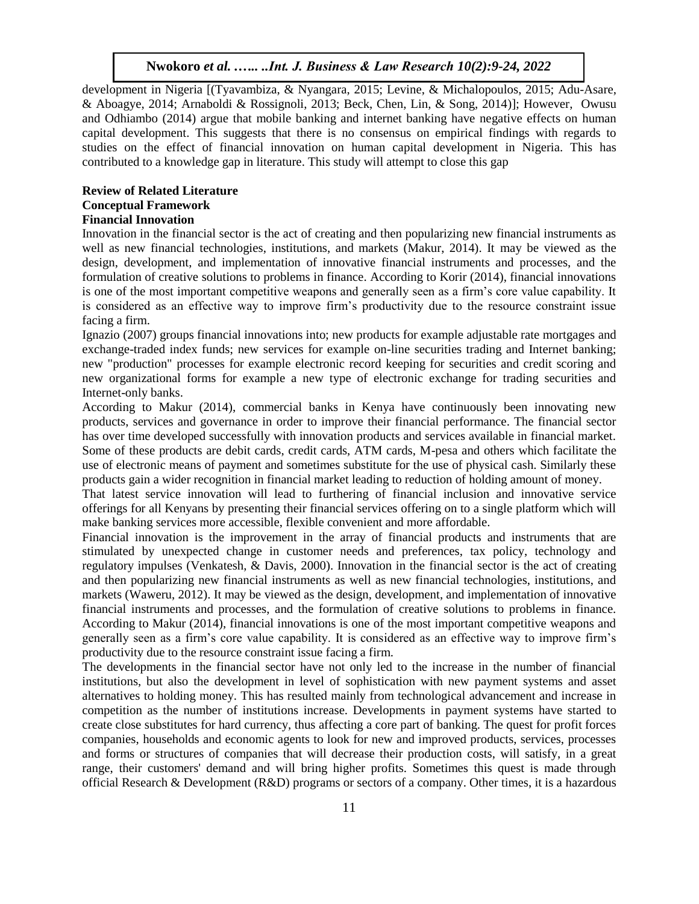development in Nigeria [(Tyavambiza, & Nyangara, 2015; Levine, & Michalopoulos, 2015; Adu-Asare, & Aboagye, 2014; Arnaboldi & Rossignoli, 2013; Beck, Chen, Lin, & Song, 2014)]; However, Owusu and Odhiambo (2014) argue that mobile banking and internet banking have negative effects on human capital development. This suggests that there is no consensus on empirical findings with regards to studies on the effect of financial innovation on human capital development in Nigeria. This has contributed to a knowledge gap in literature. This study will attempt to close this gap

#### **Review of Related Literature Conceptual Framework Financial Innovation**

Innovation in the financial sector is the act of creating and then popularizing new financial instruments as well as new financial technologies, institutions, and markets (Makur, 2014). It may be viewed as the design, development, and implementation of innovative financial instruments and processes, and the formulation of creative solutions to problems in finance. According to Korir (2014), financial innovations is one of the most important competitive weapons and generally seen as a firm's core value capability. It is considered as an effective way to improve firm's productivity due to the resource constraint issue facing a firm.

Ignazio (2007) groups financial innovations into; new products for example adjustable rate mortgages and exchange-traded index funds; new services for example on-line securities trading and Internet banking; new "production" processes for example electronic record keeping for securities and credit scoring and new organizational forms for example a new type of electronic exchange for trading securities and Internet-only banks.

According to Makur (2014), commercial banks in Kenya have continuously been innovating new products, services and governance in order to improve their financial performance. The financial sector has over time developed successfully with innovation products and services available in financial market. Some of these products are debit cards, credit cards, ATM cards, M-pesa and others which facilitate the use of electronic means of payment and sometimes substitute for the use of physical cash. Similarly these products gain a wider recognition in financial market leading to reduction of holding amount of money.

That latest service innovation will lead to furthering of financial inclusion and innovative service offerings for all Kenyans by presenting their financial services offering on to a single platform which will make banking services more accessible, flexible convenient and more affordable.

Financial innovation is the improvement in the array of financial products and instruments that are stimulated by unexpected change in customer needs and preferences, tax policy, technology and regulatory impulses (Venkatesh, & Davis, 2000). Innovation in the financial sector is the act of creating and then popularizing new financial instruments as well as new financial technologies, institutions, and markets (Waweru, 2012). It may be viewed as the design, development, and implementation of innovative financial instruments and processes, and the formulation of creative solutions to problems in finance. According to Makur (2014), financial innovations is one of the most important competitive weapons and generally seen as a firm's core value capability. It is considered as an effective way to improve firm's productivity due to the resource constraint issue facing a firm.

The developments in the financial sector have not only led to the increase in the number of financial institutions, but also the development in level of sophistication with new payment systems and asset alternatives to holding money. This has resulted mainly from technological advancement and increase in competition as the number of institutions increase. Developments in payment systems have started to create close substitutes for hard currency, thus affecting a core part of banking. The quest for profit forces companies, households and economic agents to look for new and improved products, services, processes and forms or structures of companies that will decrease their production costs, will satisfy, in a great range, their customers' demand and will bring higher profits. Sometimes this quest is made through official Research & Development (R&D) programs or sectors of a company. Other times, it is a hazardous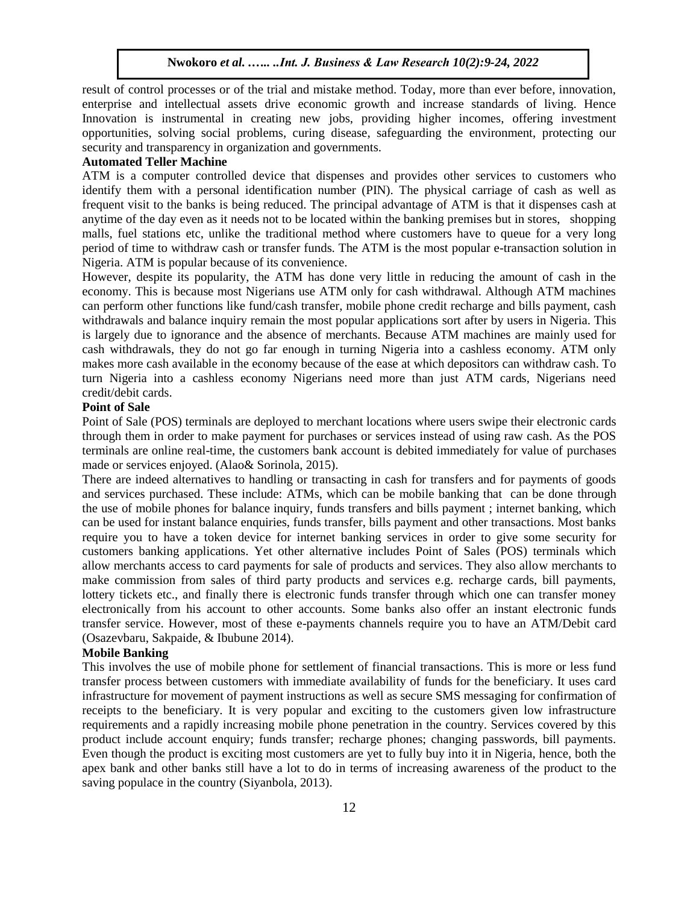result of control processes or of the trial and mistake method. Today, more than ever before, innovation, enterprise and intellectual assets drive economic growth and increase standards of living. Hence Innovation is instrumental in creating new jobs, providing higher incomes, offering investment opportunities, solving social problems, curing disease, safeguarding the environment, protecting our security and transparency in organization and governments.

#### **Automated Teller Machine**

ATM is a computer controlled device that dispenses and provides other services to customers who identify them with a personal identification number (PIN). The physical carriage of cash as well as frequent visit to the banks is being reduced. The principal advantage of ATM is that it dispenses cash at anytime of the day even as it needs not to be located within the banking premises but in stores, shopping malls, fuel stations etc, unlike the traditional method where customers have to queue for a very long period of time to withdraw cash or transfer funds. The ATM is the most popular e-transaction solution in Nigeria. ATM is popular because of its convenience.

However, despite its popularity, the ATM has done very little in reducing the amount of cash in the economy. This is because most Nigerians use ATM only for cash withdrawal. Although ATM machines can perform other functions like fund/cash transfer, mobile phone credit recharge and bills payment, cash withdrawals and balance inquiry remain the most popular applications sort after by users in Nigeria. This is largely due to ignorance and the absence of merchants. Because ATM machines are mainly used for cash withdrawals, they do not go far enough in turning Nigeria into a cashless economy. ATM only makes more cash available in the economy because of the ease at which depositors can withdraw cash. To turn Nigeria into a cashless economy Nigerians need more than just ATM cards, Nigerians need credit/debit cards.

#### **Point of Sale**

Point of Sale (POS) terminals are deployed to merchant locations where users swipe their electronic cards through them in order to make payment for purchases or services instead of using raw cash. As the POS terminals are online real-time, the customers bank account is debited immediately for value of purchases made or services enjoyed. (Alao& Sorinola, 2015).

There are indeed alternatives to handling or transacting in cash for transfers and for payments of goods and services purchased. These include: ATMs, which can be mobile banking that can be done through the use of mobile phones for balance inquiry, funds transfers and bills payment ; internet banking, which can be used for instant balance enquiries, funds transfer, bills payment and other transactions. Most banks require you to have a token device for internet banking services in order to give some security for customers banking applications. Yet other alternative includes Point of Sales (POS) terminals which allow merchants access to card payments for sale of products and services. They also allow merchants to make commission from sales of third party products and services e.g. recharge cards, bill payments, lottery tickets etc., and finally there is electronic funds transfer through which one can transfer money electronically from his account to other accounts. Some banks also offer an instant electronic funds transfer service. However, most of these e-payments channels require you to have an ATM/Debit card (Osazevbaru, Sakpaide, & Ibubune 2014).

#### **Mobile Banking**

This involves the use of mobile phone for settlement of financial transactions. This is more or less fund transfer process between customers with immediate availability of funds for the beneficiary. It uses card infrastructure for movement of payment instructions as well as secure SMS messaging for confirmation of receipts to the beneficiary. It is very popular and exciting to the customers given low infrastructure requirements and a rapidly increasing mobile phone penetration in the country. Services covered by this product include account enquiry; funds transfer; recharge phones; changing passwords, bill payments. Even though the product is exciting most customers are yet to fully buy into it in Nigeria, hence, both the apex bank and other banks still have a lot to do in terms of increasing awareness of the product to the saving populace in the country (Siyanbola, 2013).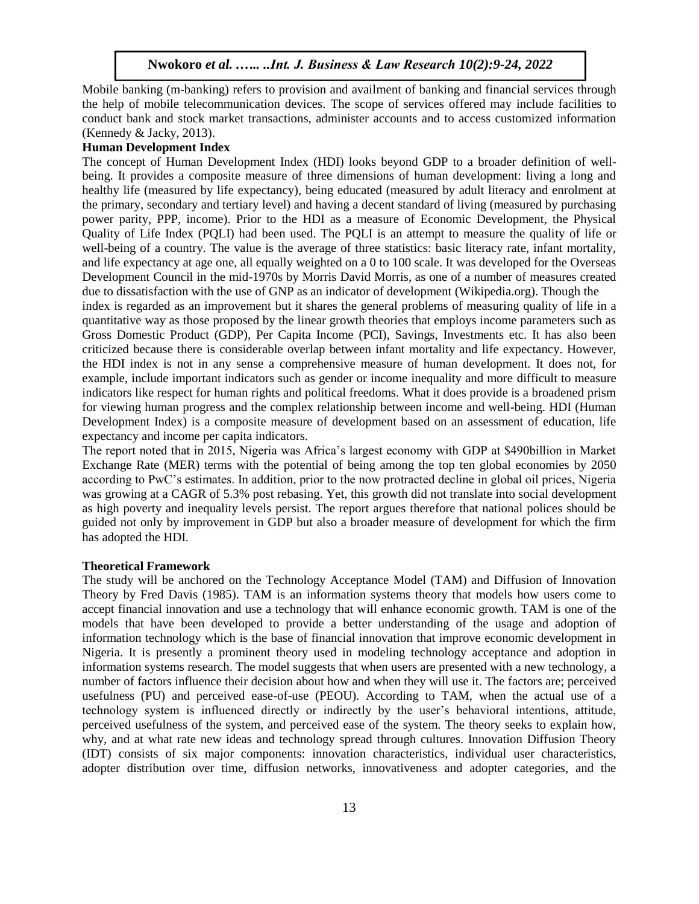Mobile banking (m-banking) refers to provision and availment of banking and financial services through the help of mobile telecommunication devices. The scope of services offered may include facilities to conduct bank and stock market transactions, administer accounts and to access customized information (Kennedy & Jacky, 2013).

#### **Human Development Index**

The concept of Human Development Index (HDI) looks beyond GDP to a broader definition of wellbeing. It provides a composite measure of three dimensions of human development: living a long and healthy life (measured by life expectancy), being educated (measured by adult literacy and enrolment at the primary, secondary and tertiary level) and having a decent standard of living (measured by purchasing power parity, PPP, income). Prior to the HDI as a measure of Economic Development, the Physical Quality of Life Index (PQLI) had been used. The PQLI is an attempt to measure the quality of life or well-being of a country. The value is the average of three statistics: basic literacy rate, infant mortality, and life expectancy at age one, all equally weighted on a 0 to 100 scale. It was developed for the Overseas Development Council in the mid-1970s by Morris David Morris, as one of a number of measures created due to dissatisfaction with the use of GNP as an indicator of development (Wikipedia.org). Though the index is regarded as an improvement but it shares the general problems of measuring quality of life in a quantitative way as those proposed by the linear growth theories that employs income parameters such as Gross Domestic Product (GDP), Per Capita Income (PCI), Savings, Investments etc. It has also been criticized because there is considerable overlap between infant mortality and life expectancy. However, the HDI index is not in any sense a comprehensive measure of human development. It does not, for example, include important indicators such as gender or income inequality and more difficult to measure indicators like respect for human rights and political freedoms. What it does provide is a broadened prism for viewing human progress and the complex relationship between income and well-being. HDI (Human Development Index) is a composite measure of development based on an assessment of education, life expectancy and income per capita indicators.

The report noted that in 2015, Nigeria was Africa's largest economy with GDP at \$490billion in Market Exchange Rate (MER) terms with the potential of being among the top ten global economies by 2050 according to PwC's estimates. In addition, prior to the now protracted decline in global oil prices, Nigeria was growing at a CAGR of 5.3% post rebasing. Yet, this growth did not translate into social development as high poverty and inequality levels persist. The report argues therefore that national polices should be guided not only by improvement in GDP but also a broader measure of development for which the firm has adopted the HDI.

#### **Theoretical Framework**

The study will be anchored on the Technology Acceptance Model (TAM) and Diffusion of Innovation Theory by Fred Davis (1985). TAM is an information systems theory that models how users come to accept financial innovation and use a technology that will enhance economic growth. TAM is one of the models that have been developed to provide a better understanding of the usage and adoption of information technology which is the base of financial innovation that improve economic development in Nigeria. It is presently a prominent theory used in modeling technology acceptance and adoption in information systems research. The model suggests that when users are presented with a new technology, a number of factors influence their decision about how and when they will use it. The factors are; perceived usefulness (PU) and perceived ease-of-use (PEOU). According to TAM, when the actual use of a technology system is influenced directly or indirectly by the user's behavioral intentions, attitude, perceived usefulness of the system, and perceived ease of the system. The theory seeks to explain how, why, and at what rate new ideas and technology spread through cultures. Innovation Diffusion Theory (IDT) consists of six major components: innovation characteristics, individual user characteristics, adopter distribution over time, diffusion networks, innovativeness and adopter categories, and the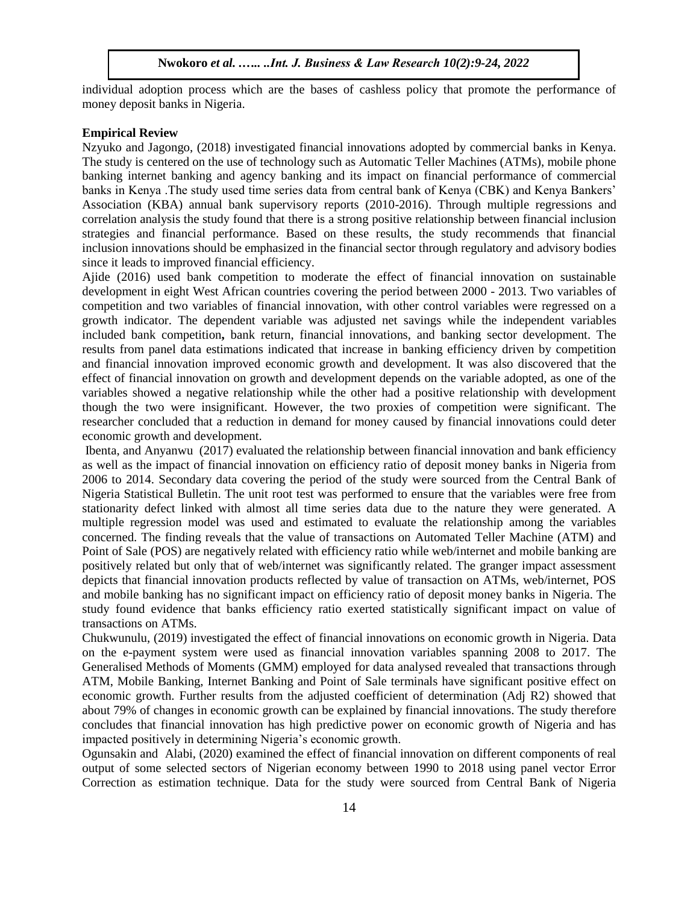individual adoption process which are the bases of cashless policy that promote the performance of money deposit banks in Nigeria.

#### **Empirical Review**

Nzyuko and Jagongo, (2018) investigated financial innovations adopted by commercial banks in Kenya. The study is centered on the use of technology such as Automatic Teller Machines (ATMs), mobile phone banking internet banking and agency banking and its impact on financial performance of commercial banks in Kenya .The study used time series data from central bank of Kenya (CBK) and Kenya Bankers' Association (KBA) annual bank supervisory reports (2010-2016). Through multiple regressions and correlation analysis the study found that there is a strong positive relationship between financial inclusion strategies and financial performance. Based on these results, the study recommends that financial inclusion innovations should be emphasized in the financial sector through regulatory and advisory bodies since it leads to improved financial efficiency.

Ajide (2016) used bank competition to moderate the effect of financial innovation on sustainable development in eight West African countries covering the period between 2000 - 2013. Two variables of competition and two variables of financial innovation, with other control variables were regressed on a growth indicator. The dependent variable was adjusted net savings while the independent variables included bank competition**,** bank return, financial innovations, and banking sector development. The results from panel data estimations indicated that increase in banking efficiency driven by competition and financial innovation improved economic growth and development. It was also discovered that the effect of financial innovation on growth and development depends on the variable adopted, as one of the variables showed a negative relationship while the other had a positive relationship with development though the two were insignificant. However, the two proxies of competition were significant. The researcher concluded that a reduction in demand for money caused by financial innovations could deter economic growth and development.

Ibenta, and Anyanwu (2017) evaluated the relationship between financial innovation and bank efficiency as well as the impact of financial innovation on efficiency ratio of deposit money banks in Nigeria from 2006 to 2014. Secondary data covering the period of the study were sourced from the Central Bank of Nigeria Statistical Bulletin. The unit root test was performed to ensure that the variables were free from stationarity defect linked with almost all time series data due to the nature they were generated. A multiple regression model was used and estimated to evaluate the relationship among the variables concerned. The finding reveals that the value of transactions on Automated Teller Machine (ATM) and Point of Sale (POS) are negatively related with efficiency ratio while web/internet and mobile banking are positively related but only that of web/internet was significantly related. The granger impact assessment depicts that financial innovation products reflected by value of transaction on ATMs, web/internet, POS and mobile banking has no significant impact on efficiency ratio of deposit money banks in Nigeria. The study found evidence that banks efficiency ratio exerted statistically significant impact on value of transactions on ATMs.

Chukwunulu, (2019) investigated the effect of financial innovations on economic growth in Nigeria. Data on the e-payment system were used as financial innovation variables spanning 2008 to 2017. The Generalised Methods of Moments (GMM) employed for data analysed revealed that transactions through ATM, Mobile Banking, Internet Banking and Point of Sale terminals have significant positive effect on economic growth. Further results from the adjusted coefficient of determination (Adj R2) showed that about 79% of changes in economic growth can be explained by financial innovations. The study therefore concludes that financial innovation has high predictive power on economic growth of Nigeria and has impacted positively in determining Nigeria's economic growth.

Ogunsakin and Alabi, (2020) examined the effect of financial innovation on different components of real output of some selected sectors of Nigerian economy between 1990 to 2018 using panel vector Error Correction as estimation technique. Data for the study were sourced from Central Bank of Nigeria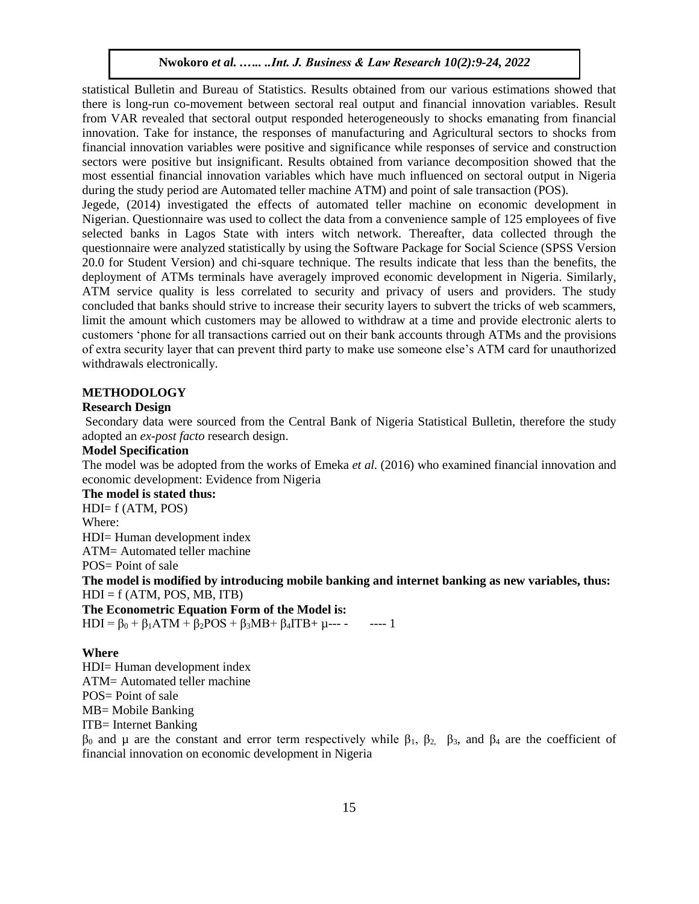statistical Bulletin and Bureau of Statistics. Results obtained from our various estimations showed that there is long-run co-movement between sectoral real output and financial innovation variables. Result from VAR revealed that sectoral output responded heterogeneously to shocks emanating from financial innovation. Take for instance, the responses of manufacturing and Agricultural sectors to shocks from financial innovation variables were positive and significance while responses of service and construction sectors were positive but insignificant. Results obtained from variance decomposition showed that the most essential financial innovation variables which have much influenced on sectoral output in Nigeria during the study period are Automated teller machine ATM) and point of sale transaction (POS).

Jegede, (2014) investigated the effects of automated teller machine on economic development in Nigerian. Questionnaire was used to collect the data from a convenience sample of 125 employees of five selected banks in Lagos State with inters witch network. Thereafter, data collected through the questionnaire were analyzed statistically by using the Software Package for Social Science (SPSS Version 20.0 for Student Version) and chi-square technique. The results indicate that less than the benefits, the deployment of ATMs terminals have averagely improved economic development in Nigeria. Similarly, ATM service quality is less correlated to security and privacy of users and providers. The study concluded that banks should strive to increase their security layers to subvert the tricks of web scammers, limit the amount which customers may be allowed to withdraw at a time and provide electronic alerts to customers 'phone for all transactions carried out on their bank accounts through ATMs and the provisions of extra security layer that can prevent third party to make use someone else's ATM card for unauthorized withdrawals electronically.

#### **METHODOLOGY**

# **Research Design**

Secondary data were sourced from the Central Bank of Nigeria Statistical Bulletin, therefore the study adopted an *ex-post facto* research design.

# **Model Specification**

The model was be adopted from the works of Emeka *et al.* (2016) who examined financial innovation and economic development: Evidence from Nigeria

**The model is stated thus:**

 $HDI = f (ATM, POS)$ Where: HDI= Human development index ATM= Automated teller machine POS= Point of sale

**The model is modified by introducing mobile banking and internet banking as new variables, thus:**   $HDI = f (ATM, POS, MB, ITB)$ 

**The Econometric Equation Form of the Model is:** HDI =  $\beta_0 + \beta_1ATM + \beta_2POS + \beta_3MB + \beta_4ITB + \mu$ --- - ---- 1

#### **Where**

HDI= Human development index ATM= Automated teller machine POS= Point of sale MB= Mobile Banking ITB= Internet Banking

 $β_0$  and μ are the constant and error term respectively while  $β_1$ ,  $β_2$ ,  $β_3$ , and  $β_4$  are the coefficient of financial innovation on economic development in Nigeria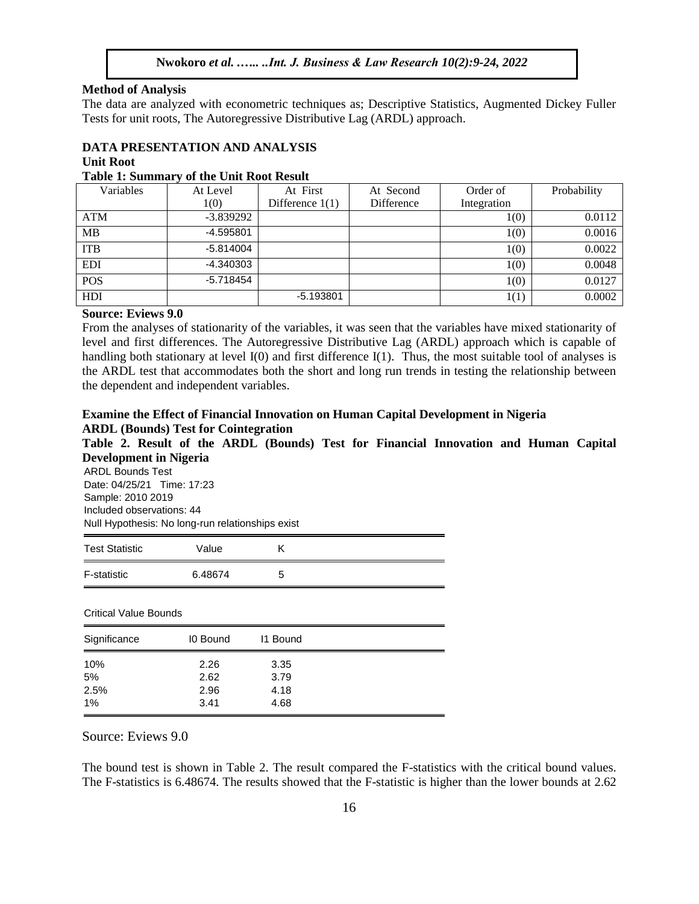#### **Method of Analysis**

The data are analyzed with econometric techniques as; Descriptive Statistics, Augmented Dickey Fuller Tests for unit roots, The Autoregressive Distributive Lag (ARDL) approach.

# **DATA PRESENTATION AND ANALYSIS**

# **Unit Root**

# **Table 1: Summary of the Unit Root Result**

| Variables  | At Level    | At First          | At Second  | Order of    | Probability |
|------------|-------------|-------------------|------------|-------------|-------------|
|            | 1(0)        | Difference $1(1)$ | Difference | Integration |             |
| ATM        | $-3.839292$ |                   |            | 1(0)        | 0.0112      |
| MВ         | $-4.595801$ |                   |            | 1(0)        | 0.0016      |
| <b>ITB</b> | $-5.814004$ |                   |            | 1(0)        | 0.0022      |
| <b>EDI</b> | $-4.340303$ |                   |            | 1(0)        | 0.0048      |
| <b>POS</b> | $-5.718454$ |                   |            | 1(0)        | 0.0127      |
| HDI        |             | $-5.193801$       |            | 1(1)        | 0.0002      |
|            |             |                   |            |             |             |

#### **Source: Eviews 9.0**

From the analyses of stationarity of the variables, it was seen that the variables have mixed stationarity of level and first differences. The Autoregressive Distributive Lag (ARDL) approach which is capable of handling both stationary at level I(0) and first difference I(1). Thus, the most suitable tool of analyses is the ARDL test that accommodates both the short and long run trends in testing the relationship between the dependent and independent variables.

# **Examine the Effect of Financial Innovation on Human Capital Development in Nigeria ARDL (Bounds) Test for Cointegration**

**Table 2. Result of the ARDL (Bounds) Test for Financial Innovation and Human Capital Development in Nigeria**

ARDL Bounds Test Date: 04/25/21 Time: 17:23 Sample: 2010 2019 Included observations: 44 Null Hypothesis: No long-run relationships exist

| <b>Test Statistic</b> | Value   |   |
|-----------------------|---------|---|
| F-statistic           | 6.48674 | 5 |

Critical Value Bounds

| Significance | 10 Bound | 11 Bound |  |
|--------------|----------|----------|--|
| 10%          | 2.26     | 3.35     |  |
| 5%           | 2.62     | 3.79     |  |
| 2.5%         | 2.96     | 4.18     |  |
| 1%           | 3.41     | 4.68     |  |

Source: Eviews 9.0

The bound test is shown in Table 2. The result compared the F-statistics with the critical bound values. The F-statistics is 6.48674. The results showed that the F-statistic is higher than the lower bounds at 2.62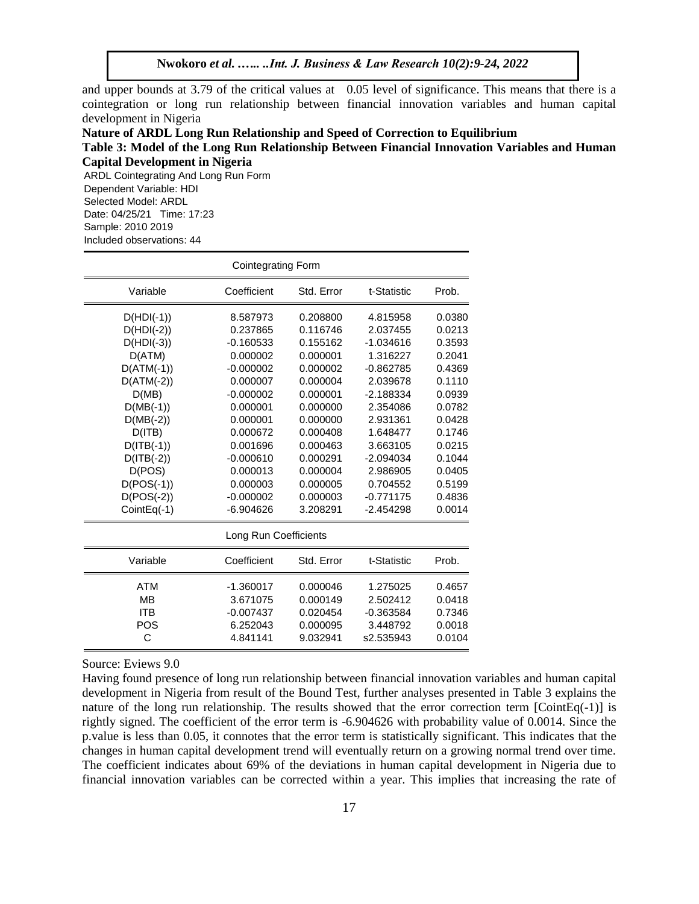and upper bounds at 3.79 of the critical values at 0.05 level of significance. This means that there is a cointegration or long run relationship between financial innovation variables and human capital development in Nigeria

# **Nature of ARDL Long Run Relationship and Speed of Correction to Equilibrium**

# **Table 3: Model of the Long Run Relationship Between Financial Innovation Variables and Human Capital Development in Nigeria**

ARDL Cointegrating And Long Run Form Dependent Variable: HDI Selected Model: ARDL Date: 04/25/21 Time: 17:23 Sample: 2010 2019 Included observations: 44

| <b>Cointegrating Form</b> |             |            |             |        |  |
|---------------------------|-------------|------------|-------------|--------|--|
| Variable                  | Coefficient | Std. Error | t-Statistic | Prob.  |  |
| $D(HDI(-1))$              | 8.587973    | 0.208800   | 4.815958    | 0.0380 |  |
| $D(HDI(-2))$              | 0.237865    | 0.116746   | 2.037455    | 0.0213 |  |
| $D(HDI(-3))$              | $-0.160533$ | 0.155162   | $-1.034616$ | 0.3593 |  |
| D(ATM)                    | 0.000002    | 0.000001   | 1.316227    | 0.2041 |  |
| $D(ATM(-1))$              | $-0.000002$ | 0.000002   | $-0.862785$ | 0.4369 |  |
| $D(ATM(-2))$              | 0.000007    | 0.000004   | 2.039678    | 0.1110 |  |
| D(MB)                     | $-0.000002$ | 0.000001   | $-2.188334$ | 0.0939 |  |
| $D(MB(-1))$               | 0.000001    | 0.000000   | 2.354086    | 0.0782 |  |
| $D(MB(-2))$               | 0.000001    | 0.000000   | 2.931361    | 0.0428 |  |
| $D($ ITB $)$              | 0.000672    | 0.000408   | 1.648477    | 0.1746 |  |
| $D(ITE(-1))$              | 0.001696    | 0.000463   | 3.663105    | 0.0215 |  |
| $D(ITE(-2))$              | $-0.000610$ | 0.000291   | $-2.094034$ | 0.1044 |  |
| D(POS)                    | 0.000013    | 0.000004   | 2.986905    | 0.0405 |  |
| $D(POS(-1))$              | 0.000003    | 0.000005   | 0.704552    | 0.5199 |  |
| $D(POS(-2))$              | $-0.000002$ | 0.000003   | $-0.771175$ | 0.4836 |  |
| $CointEq(-1)$             | $-6.904626$ | 3.208291   | $-2.454298$ | 0.0014 |  |
| Long Run Coefficients     |             |            |             |        |  |
| Variable                  | Coefficient | Std. Error | t-Statistic | Prob.  |  |
| <b>ATM</b>                | $-1.360017$ | 0.000046   | 1.275025    | 0.4657 |  |
| <b>MB</b>                 | 3.671075    | 0.000149   | 2.502412    | 0.0418 |  |
| <b>ITB</b>                | $-0.007437$ | 0.020454   | $-0.363584$ | 0.7346 |  |
| POS                       | 6.252043    | 0.000095   | 3.448792    | 0.0018 |  |
| C                         | 4.841141    | 9.032941   | s2.535943   | 0.0104 |  |

Source: Eviews 9.0

Having found presence of long run relationship between financial innovation variables and human capital development in Nigeria from result of the Bound Test, further analyses presented in Table 3 explains the nature of the long run relationship. The results showed that the error correction term [CointEq(-1)] is rightly signed. The coefficient of the error term is -6.904626 with probability value of 0.0014. Since the p.value is less than 0.05, it connotes that the error term is statistically significant. This indicates that the changes in human capital development trend will eventually return on a growing normal trend over time. The coefficient indicates about 69% of the deviations in human capital development in Nigeria due to financial innovation variables can be corrected within a year. This implies that increasing the rate of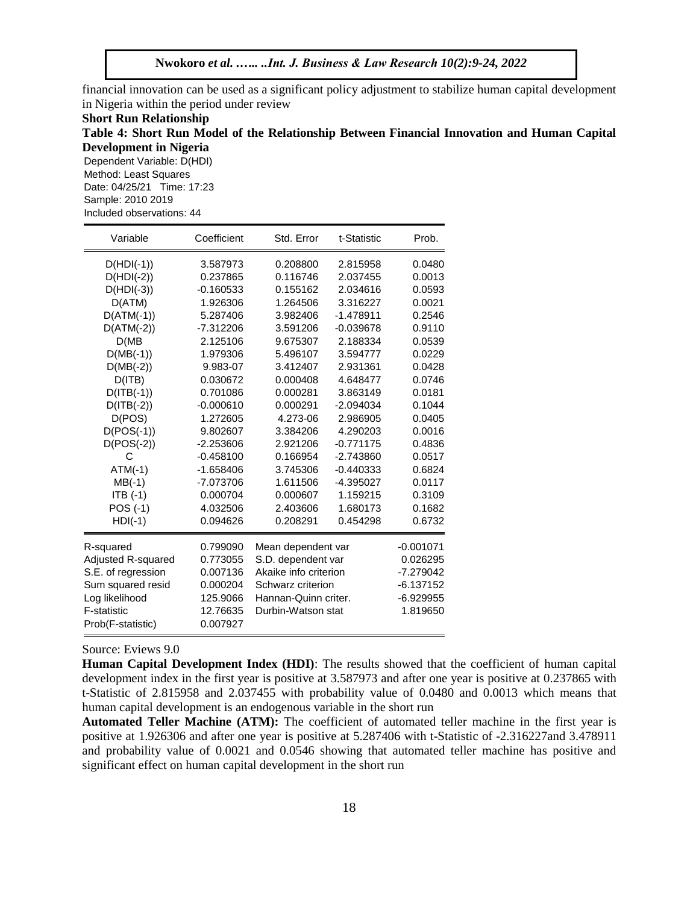financial innovation can be used as a significant policy adjustment to stabilize human capital development in Nigeria within the period under review

**Short Run Relationship Table 4: Short Run Model of the Relationship Between Financial Innovation and Human Capital Development in Nigeria**

Dependent Variable: D(HDI) Method: Least Squares Date: 04/25/21 Time: 17:23 Sample: 2010 2019 Included observations: 44

| Variable                                | Coefficient          | Std. Error            | t-Statistic | Prob.       |
|-----------------------------------------|----------------------|-----------------------|-------------|-------------|
| $D(HDI(-1))$                            | 3.587973             | 0.208800              | 2.815958    | 0.0480      |
| $D(HDI(-2))$                            | 0.237865             | 0.116746              | 2.037455    | 0.0013      |
| $D(HDI(-3))$                            | $-0.160533$          | 0.155162              | 2.034616    | 0.0593      |
| D(ATM)                                  | 1.926306             | 1.264506              | 3.316227    | 0.0021      |
| $D(ATM(-1))$                            | 5.287406             | 3.982406              | $-1.478911$ | 0.2546      |
| $D(ATM(-2))$                            | $-7.312206$          | 3.591206              | $-0.039678$ | 0.9110      |
| D(MB)                                   | 2.125106             | 9.675307              | 2.188334    | 0.0539      |
| $D(MB(-1))$                             | 1.979306             | 5.496107              | 3.594777    | 0.0229      |
| $D(MB(-2))$                             | 9.983-07             | 3.412407              | 2.931361    | 0.0428      |
| D(ITB)                                  | 0.030672             | 0.000408              | 4.648477    | 0.0746      |
| $D(ITE(-1))$                            | 0.701086             | 0.000281              | 3.863149    | 0.0181      |
| $D(ITB(-2))$                            | $-0.000610$          | 0.000291              | $-2.094034$ | 0.1044      |
| D(POS)                                  | 1.272605             | 4.273-06              | 2.986905    | 0.0405      |
| $D(POS(-1))$                            | 9.802607             | 3.384206              | 4.290203    | 0.0016      |
| $D(POS(-2))$                            | $-2.253606$          | 2.921206              | $-0.771175$ | 0.4836      |
| С                                       | $-0.458100$          | 0.166954              | $-2.743860$ | 0.0517      |
| $ATM(-1)$                               | $-1.658406$          | 3.745306              | $-0.440333$ | 0.6824      |
| $MB(-1)$                                | -7.073706            | 1.611506              | -4.395027   | 0.0117      |
| $ITB(-1)$                               | 0.000704             | 0.000607              | 1.159215    | 0.3109      |
| POS (-1)                                | 4.032506             | 2.403606              | 1.680173    | 0.1682      |
| $HDI(-1)$                               | 0.094626             | 0.208291              | 0.454298    | 0.6732      |
| 0.799090<br>R-squared                   |                      | Mean dependent var    |             | $-0.001071$ |
| Adjusted R-squared                      | 0.773055             | S.D. dependent var    |             | 0.026295    |
| S.E. of regression                      | 0.007136             | Akaike info criterion |             | $-7.279042$ |
| Sum squared resid                       | 0.000204             | Schwarz criterion     |             | $-6.137152$ |
| Log likelihood                          | 125.9066             | Hannan-Quinn criter.  |             | $-6.929955$ |
| <b>F-statistic</b><br>Prob(F-statistic) | 12.76635<br>0.007927 | Durbin-Watson stat    |             | 1.819650    |

#### Source: Eviews 9.0

**Human Capital Development Index (HDI)**: The results showed that the coefficient of human capital development index in the first year is positive at 3.587973 and after one year is positive at 0.237865 with t-Statistic of 2.815958 and 2.037455 with probability value of 0.0480 and 0.0013 which means that human capital development is an endogenous variable in the short run

**Automated Teller Machine (ATM):** The coefficient of automated teller machine in the first year is positive at 1.926306 and after one year is positive at 5.287406 with t-Statistic of -2.316227and 3.478911 and probability value of 0.0021 and 0.0546 showing that automated teller machine has positive and significant effect on human capital development in the short run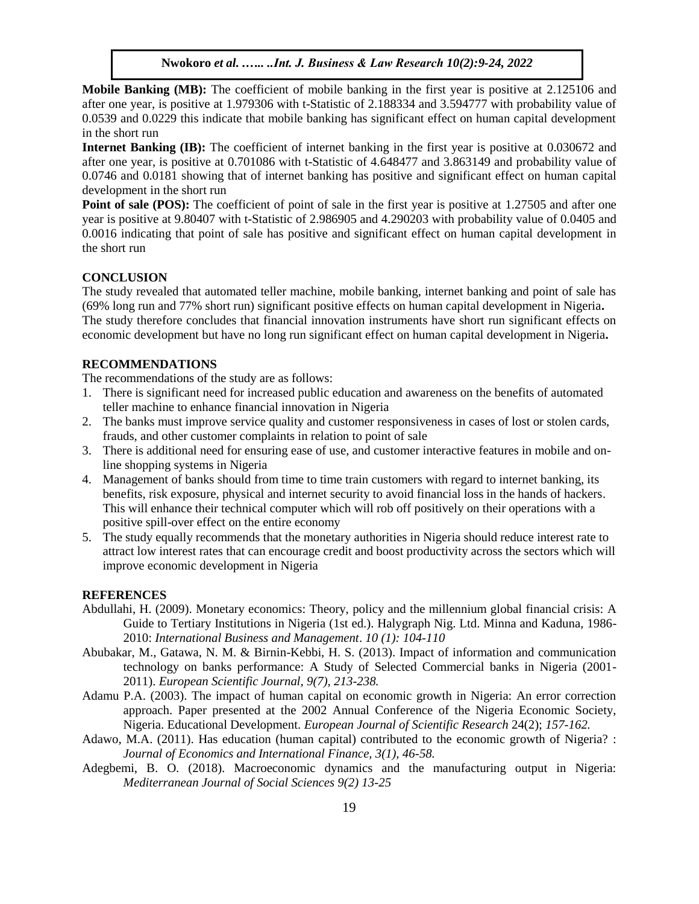**Mobile Banking (MB):** The coefficient of mobile banking in the first year is positive at 2.125106 and after one year, is positive at 1.979306 with t-Statistic of 2.188334 and 3.594777 with probability value of 0.0539 and 0.0229 this indicate that mobile banking has significant effect on human capital development in the short run

**Internet Banking (IB):** The coefficient of internet banking in the first year is positive at 0.030672 and after one year, is positive at 0.701086 with t-Statistic of 4.648477 and 3.863149 and probability value of 0.0746 and 0.0181 showing that of internet banking has positive and significant effect on human capital development in the short run

**Point of sale (POS):** The coefficient of point of sale in the first year is positive at 1.27505 and after one year is positive at 9.80407 with t-Statistic of 2.986905 and 4.290203 with probability value of 0.0405 and 0.0016 indicating that point of sale has positive and significant effect on human capital development in the short run

#### **CONCLUSION**

The study revealed that automated teller machine, mobile banking, internet banking and point of sale has (69% long run and 77% short run) significant positive effects on human capital development in Nigeria**.**  The study therefore concludes that financial innovation instruments have short run significant effects on economic development but have no long run significant effect on human capital development in Nigeria**.** 

# **RECOMMENDATIONS**

The recommendations of the study are as follows:

- 1. There is significant need for increased public education and awareness on the benefits of automated teller machine to enhance financial innovation in Nigeria
- 2. The banks must improve service quality and customer responsiveness in cases of lost or stolen cards, frauds, and other customer complaints in relation to point of sale
- 3. There is additional need for ensuring ease of use, and customer interactive features in mobile and online shopping systems in Nigeria
- 4. Management of banks should from time to time train customers with regard to internet banking, its benefits, risk exposure, physical and internet security to avoid financial loss in the hands of hackers. This will enhance their technical computer which will rob off positively on their operations with a positive spill-over effect on the entire economy
- 5. The study equally recommends that the monetary authorities in Nigeria should reduce interest rate to attract low interest rates that can encourage credit and boost productivity across the sectors which will improve economic development in Nigeria

#### **REFERENCES**

- Abdullahi, H. (2009). Monetary economics: Theory, policy and the millennium global financial crisis: A Guide to Tertiary Institutions in Nigeria (1st ed.). Halygraph Nig. Ltd. Minna and Kaduna, 1986- 2010: *International Business and Management*. *10 (1): 104-110*
- Abubakar, M., Gatawa, N. M. & Birnin-Kebbi, H. S. (2013). Impact of information and communication technology on banks performance: A Study of Selected Commercial banks in Nigeria (2001- 2011). *European Scientific Journal, 9(7), 213-238.*
- Adamu P.A. (2003). The impact of human capital on economic growth in Nigeria: An error correction approach. Paper presented at the 2002 Annual Conference of the Nigeria Economic Society, Nigeria. Educational Development. *European Journal of Scientific Research* 24(2); *157-162.*
- Adawo, M.A. (2011). Has education (human capital) contributed to the economic growth of Nigeria? : *Journal of Economics and International Finance, 3(1), 46-58.*
- Adegbemi, B. O. (2018). Macroeconomic dynamics and the manufacturing output in Nigeria: *Mediterranean Journal of Social Sciences 9(2) 13-25*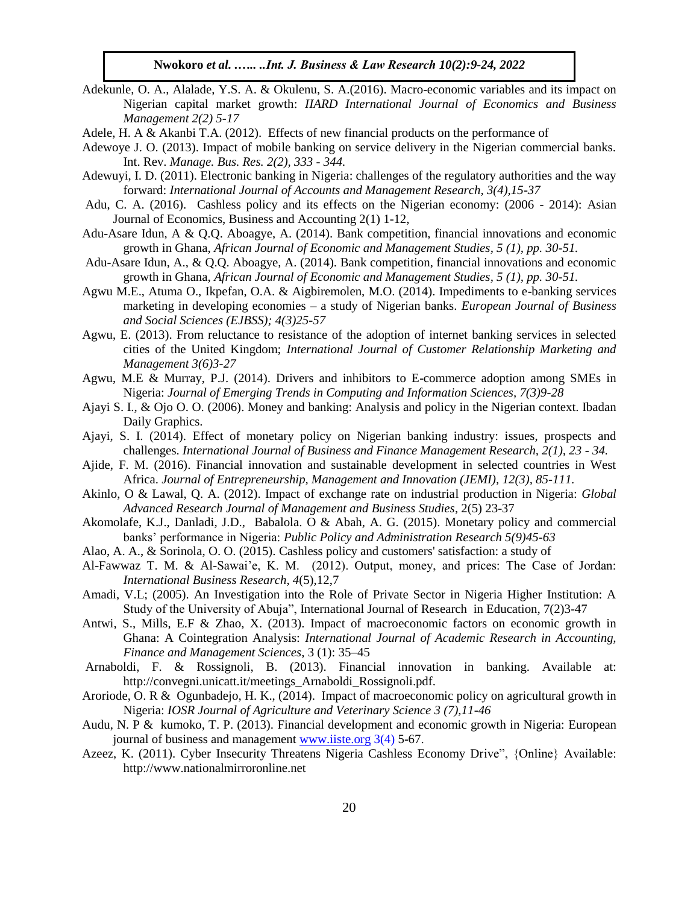- Adekunle, O. A., Alalade, Y.S. A. & Okulenu, S. A.(2016). Macro-economic variables and its impact on Nigerian capital market growth: *IIARD International Journal of Economics and Business Management 2(2) 5-17*
- Adele, H. A & Akanbi T.A. (2012). Effects of new financial products on the performance of
- Adewoye J. O. (2013). Impact of mobile banking on service delivery in the Nigerian commercial banks. Int. Rev. *Manage. Bus. Res. 2(2), 333 - 344.*
- Adewuyi, I. D. (2011). Electronic banking in Nigeria: challenges of the regulatory authorities and the way forward: *International Journal of Accounts and Management Research, 3(4),15-37*
- Adu, C. A. (2016). Cashless policy and its effects on the Nigerian economy: (2006 2014): Asian Journal of Economics, Business and Accounting 2(1) 1-12,
- Adu-Asare Idun, A & Q.Q. Aboagye, A. (2014). Bank competition, financial innovations and economic growth in Ghana, *African Journal of Economic and Management Studies, 5 (1), pp. 30-51.*
- Adu-Asare Idun, A., & Q.Q. Aboagye, A. (2014). Bank competition, financial innovations and economic growth in Ghana, *African Journal of Economic and Management Studies, 5 (1), pp. 30-51.*
- Agwu M.E., Atuma O., Ikpefan, O.A. & Aigbiremolen, M.O. (2014). Impediments to e-banking services marketing in developing economies – a study of Nigerian banks. *European Journal of Business and Social Sciences (EJBSS); 4(3)25-57*
- Agwu, E. (2013). From reluctance to resistance of the adoption of internet banking services in selected cities of the United Kingdom; *International Journal of Customer Relationship Marketing and Management 3(6)3-27*
- Agwu, M.E & Murray, P.J. (2014). Drivers and inhibitors to E-commerce adoption among SMEs in Nigeria: *Journal of Emerging Trends in Computing and Information Sciences, 7(3)9-28*
- Ajayi S. I., & Ojo O. O. (2006). Money and banking: Analysis and policy in the Nigerian context. Ibadan Daily Graphics.
- Ajayi, S. I. (2014). Effect of monetary policy on Nigerian banking industry: issues, prospects and challenges. *International Journal of Business and Finance Management Research, 2(1), 23 - 34.*
- Ajide, F. M. (2016). Financial innovation and sustainable development in selected countries in West Africa. *Journal of Entrepreneurship, Management and Innovation (JEMI), 12(3), 85-111.*
- Akinlo, O & Lawal, Q. A. (2012). Impact of exchange rate on industrial production in Nigeria: *Global Advanced Research Journal of Management and Business Studies*, 2(5) 23-37
- Akomolafe, K.J., Danladi, J.D., Babalola. O & Abah, A. G. (2015). Monetary policy and commercial banks' performance in Nigeria: *Public Policy and Administration Research 5(9)45-63*
- Alao, A. A., & Sorinola, O. O. (2015). Cashless policy and customers' satisfaction: a study of
- Al-Fawwaz T. M. & Al-Sawai'e, K. M. (2012). Output, money, and prices: The Case of Jordan: *International Business Research, 4*(5),12,7
- Amadi, V.L; (2005). An Investigation into the Role of Private Sector in Nigeria Higher Institution: A Study of the University of Abuja", International Journal of Research in Education, 7(2)3-47
- Antwi, S., Mills, E.F & Zhao, X. (2013). Impact of macroeconomic factors on economic growth in Ghana: A Cointegration Analysis: *International Journal of Academic Research in Accounting, Finance and Management Sciences*, 3 (1): 35–45
- Arnaboldi, F. & Rossignoli, B. (2013). Financial innovation in banking. Available at: http://convegni.unicatt.it/meetings\_Arnaboldi\_Rossignoli.pdf.
- Aroriode, O. R & Ogunbadejo, H. K., (2014). Impact of macroeconomic policy on agricultural growth in Nigeria: *IOSR Journal of Agriculture and Veterinary Science 3 (7),11-46*
- Audu, N. P & kumoko, T. P. (2013). Financial development and economic growth in Nigeria: European journal of business and management [www.iiste.org](http://www.iiste.org/) 3(4) 5-67.
- Azeez, K. (2011). Cyber Insecurity Threatens Nigeria Cashless Economy Drive", {Online} Available: http://www.nationalmirroronline.net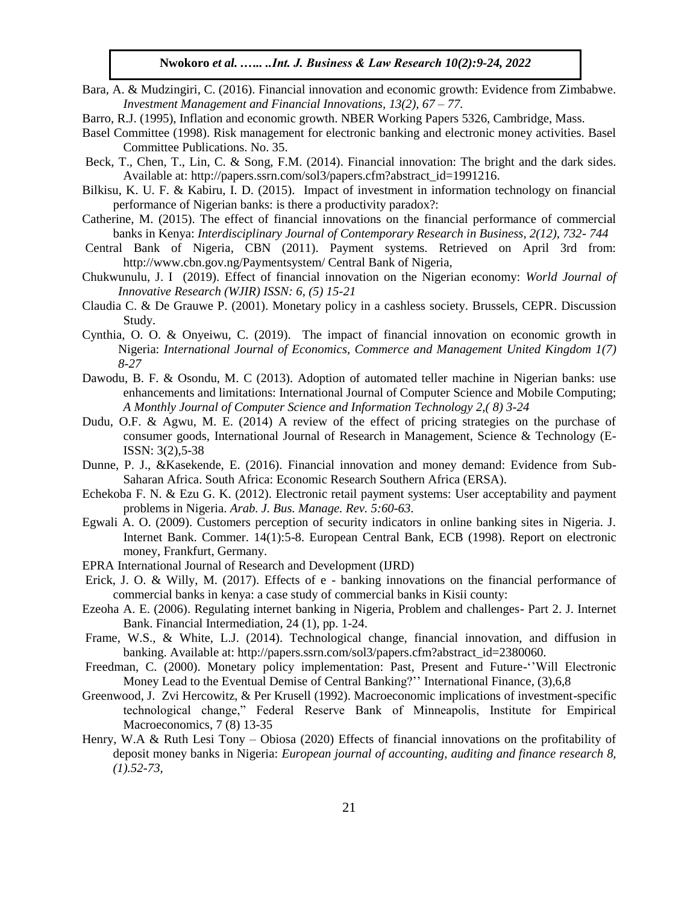- Bara, A. & Mudzingiri, C. (2016). Financial innovation and economic growth: Evidence from Zimbabwe. *Investment Management and Financial Innovations, 13(2), 67 – 77.*
- Barro, R.J. (1995), Inflation and economic growth. NBER Working Papers 5326, Cambridge, Mass.
- Basel Committee (1998). Risk management for electronic banking and electronic money activities. Basel Committee Publications. No. 35.
- Beck, T., Chen, T., Lin, C. & Song, F.M. (2014). Financial innovation: The bright and the dark sides. Available at: http://papers.ssrn.com/sol3/papers.cfm?abstract\_id=1991216.
- Bilkisu, K. U. F. & Kabiru, I. D. (2015). Impact of investment in information technology on financial performance of Nigerian banks: is there a productivity paradox?:
- Catherine, M. (2015). The effect of financial innovations on the financial performance of commercial banks in Kenya: *Interdisciplinary Journal of Contemporary Research in Business, 2(12), 732- 744*
- Central Bank of Nigeria, CBN (2011). Payment systems. Retrieved on April 3rd from: http://www.cbn.gov.ng/Paymentsystem/ Central Bank of Nigeria,
- Chukwunulu, J. I (2019). Effect of financial innovation on the Nigerian economy: *World Journal of Innovative Research (WJIR) ISSN: 6, (5) 15-21*
- Claudia C. & De Grauwe P. (2001). Monetary policy in a cashless society. Brussels, CEPR. Discussion Study.
- Cynthia, O. O. & Onyeiwu, C. (2019). The impact of financial innovation on economic growth in Nigeria: *International Journal of Economics, Commerce and Management United Kingdom 1(7) 8-27*
- Dawodu, B. F. & Osondu, M. C (2013). Adoption of automated teller machine in Nigerian banks: use enhancements and limitations: International Journal of Computer Science and Mobile Computing; *A Monthly Journal of Computer Science and Information Technology 2,( 8) 3-24*
- Dudu, O.F. & Agwu, M. E. (2014) A review of the effect of pricing strategies on the purchase of consumer goods, International Journal of Research in Management, Science & Technology (E-ISSN: 3(2),5-38
- Dunne, P. J., &Kasekende, E. (2016). Financial innovation and money demand: Evidence from Sub-Saharan Africa. South Africa: Economic Research Southern Africa (ERSA).
- Echekoba F. N. & Ezu G. K. (2012). Electronic retail payment systems: User acceptability and payment problems in Nigeria. *Arab. J. Bus. Manage. Rev. 5:60-63*.
- Egwali A. O. (2009). Customers perception of security indicators in online banking sites in Nigeria. J. Internet Bank. Commer. 14(1):5-8. European Central Bank, ECB (1998). Report on electronic money, Frankfurt, Germany.
- EPRA International Journal of Research and Development (IJRD)
- Erick, J. O. & Willy, M. (2017). Effects of e banking innovations on the financial performance of commercial banks in kenya: a case study of commercial banks in Kisii county:
- Ezeoha A. E. (2006). Regulating internet banking in Nigeria, Problem and challenges- Part 2. J. Internet Bank. Financial Intermediation, 24 (1), pp. 1-24.
- Frame, W.S., & White, L.J. (2014). Technological change, financial innovation, and diffusion in banking. Available at: http://papers.ssrn.com/sol3/papers.cfm?abstract\_id=2380060.
- Freedman, C. (2000). Monetary policy implementation: Past, Present and Future-''Will Electronic Money Lead to the Eventual Demise of Central Banking?'' International Finance, (3),6,8
- Greenwood, J. Zvi Hercowitz, & Per Krusell (1992). Macroeconomic implications of investment-specific technological change," Federal Reserve Bank of Minneapolis, Institute for Empirical Macroeconomics, 7 (8) 13-35
- Henry, W.A & Ruth Lesi Tony Obiosa (2020) Effects of financial innovations on the profitability of deposit money banks in Nigeria: *European journal of accounting, auditing and finance research 8, (1).52-73,*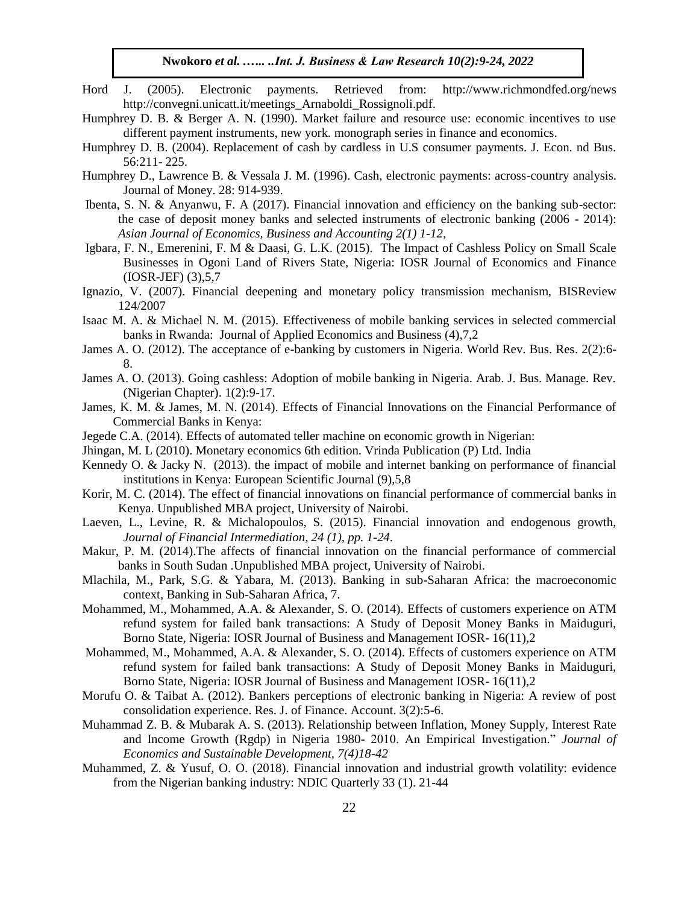- Hord J. (2005). Electronic payments. Retrieved from: http://www.richmondfed.org/news http://convegni.unicatt.it/meetings\_Arnaboldi\_Rossignoli.pdf.
- Humphrey D. B. & Berger A. N. (1990). Market failure and resource use: economic incentives to use different payment instruments, new york. monograph series in finance and economics.
- Humphrey D. B. (2004). Replacement of cash by cardless in U.S consumer payments. J. Econ. nd Bus. 56:211- 225.
- Humphrey D., Lawrence B. & Vessala J. M. (1996). Cash, electronic payments: across-country analysis. Journal of Money. 28: 914-939.
- Ibenta, S. N. & Anyanwu, F. A (2017). Financial innovation and efficiency on the banking sub-sector: the case of deposit money banks and selected instruments of electronic banking (2006 - 2014): *Asian Journal of Economics, Business and Accounting 2(1) 1-12,*
- Igbara, F. N., Emerenini, F. M & Daasi, G. L.K. (2015). The Impact of Cashless Policy on Small Scale Businesses in Ogoni Land of Rivers State, Nigeria: IOSR Journal of Economics and Finance (IOSR-JEF) (3),5,7
- Ignazio, V. (2007). Financial deepening and monetary policy transmission mechanism, BISReview 124/2007
- Isaac M. A. & Michael N. M. (2015). Effectiveness of mobile banking services in selected commercial banks in Rwanda: Journal of Applied Economics and Business (4),7,2
- James A. O. (2012). The acceptance of e-banking by customers in Nigeria. World Rev. Bus. Res. 2(2):6- 8.
- James A. O. (2013). Going cashless: Adoption of mobile banking in Nigeria. Arab. J. Bus. Manage. Rev. (Nigerian Chapter). 1(2):9-17.
- James, K. M. & James, M. N. (2014). Effects of Financial Innovations on the Financial Performance of Commercial Banks in Kenya:
- Jegede C.A. (2014). Effects of automated teller machine on economic growth in Nigerian:
- Jhingan, M. L (2010). Monetary economics 6th edition. Vrinda Publication (P) Ltd. India
- Kennedy O. & Jacky N. (2013). the impact of mobile and internet banking on performance of financial institutions in Kenya: European Scientific Journal (9),5,8
- Korir, M. C. (2014). The effect of financial innovations on financial performance of commercial banks in Kenya. Unpublished MBA project, University of Nairobi.
- Laeven, L., Levine, R. & Michalopoulos, S. (2015). Financial innovation and endogenous growth, *Journal of Financial Intermediation, 24 (1), pp. 1-24*.
- Makur, P. M. (2014).The affects of financial innovation on the financial performance of commercial banks in South Sudan .Unpublished MBA project, University of Nairobi.
- Mlachila, M., Park, S.G. & Yabara, M. (2013). Banking in sub-Saharan Africa: the macroeconomic context, Banking in Sub-Saharan Africa, 7.
- Mohammed, M., Mohammed, A.A. & Alexander, S. O. (2014). Effects of customers experience on ATM refund system for failed bank transactions: A Study of Deposit Money Banks in Maiduguri, Borno State, Nigeria: IOSR Journal of Business and Management IOSR- 16(11),2
- Mohammed, M., Mohammed, A.A. & Alexander, S. O. (2014). Effects of customers experience on ATM refund system for failed bank transactions: A Study of Deposit Money Banks in Maiduguri, Borno State, Nigeria: IOSR Journal of Business and Management IOSR- 16(11),2
- Morufu O. & Taibat A. (2012). Bankers perceptions of electronic banking in Nigeria: A review of post consolidation experience. Res. J. of Finance. Account. 3(2):5-6.
- Muhammad Z. B. & Mubarak A. S. (2013). Relationship between Inflation, Money Supply, Interest Rate and Income Growth (Rgdp) in Nigeria 1980- 2010. An Empirical Investigation." *Journal of Economics and Sustainable Development, 7(4)18-42*
- Muhammed, Z. & Yusuf, O. O. (2018). Financial innovation and industrial growth volatility: evidence from the Nigerian banking industry: NDIC Quarterly 33 (1). 21-44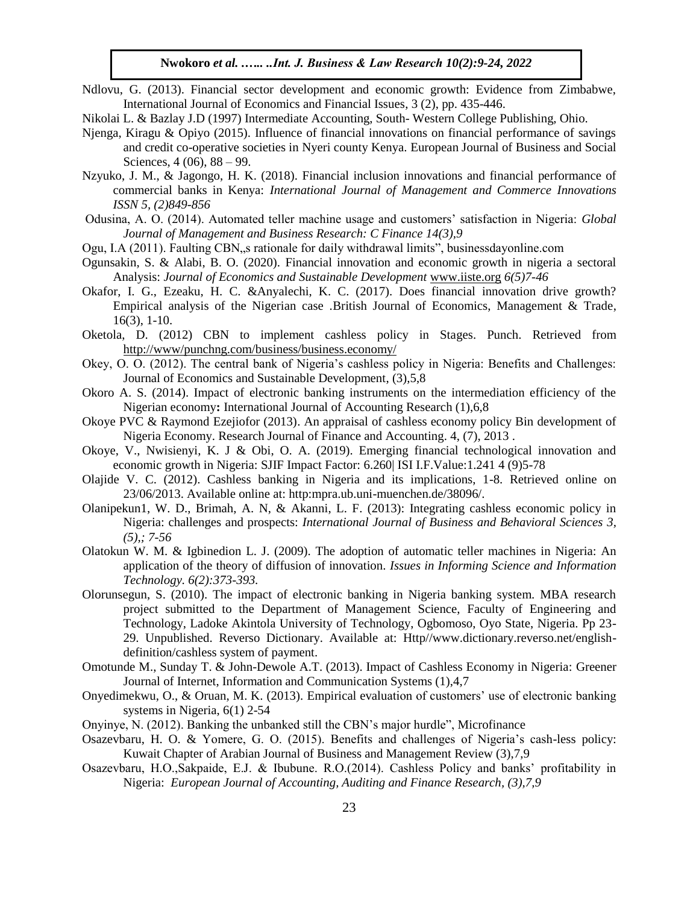- Ndlovu, G. (2013). Financial sector development and economic growth: Evidence from Zimbabwe, International Journal of Economics and Financial Issues, 3 (2), pp. 435-446.
- Nikolai L. & Bazlay J.D (1997) Intermediate Accounting, South- Western College Publishing, Ohio.
- Njenga, Kiragu & Opiyo (2015). Influence of financial innovations on financial performance of savings and credit co-operative societies in Nyeri county Kenya. European Journal of Business and Social Sciences, 4 (06), 88 – 99.
- Nzyuko, J. M., & Jagongo, H. K. (2018). Financial inclusion innovations and financial performance of commercial banks in Kenya: *International Journal of Management and Commerce Innovations ISSN 5, (2)849-856*
- Odusina, A. O. (2014). Automated teller machine usage and customers' satisfaction in Nigeria: *Global Journal of Management and Business Research: C Finance 14(3),9*
- Ogu, I.A (2011). Faulting CBN,,s rationale for daily withdrawal limits", businessdayonline.com
- Ogunsakin, S. & Alabi, B. O. (2020). Financial innovation and economic growth in nigeria a sectoral Analysis: *Journal of Economics and Sustainable Development* [www.iiste.org](http://www.iiste.org/) *6(5)7-46*
- Okafor, I. G., Ezeaku, H. C. &Anyalechi, K. C. (2017). Does financial innovation drive growth? Empirical analysis of the Nigerian case .British Journal of Economics, Management & Trade, 16(3), 1-10.
- Oketola, D. (2012) CBN to implement cashless policy in Stages. Punch. Retrieved from <http://www/punchng.com/business/business.economy/>
- Okey, O. O. (2012). The central bank of Nigeria's cashless policy in Nigeria: Benefits and Challenges: Journal of Economics and Sustainable Development, (3),5,8
- Okoro A. S. (2014). Impact of electronic banking instruments on the intermediation efficiency of the Nigerian economy**:** International Journal of Accounting Research (1),6,8
- Okoye PVC & Raymond Ezejiofor (2013). An appraisal of cashless economy policy Bin development of Nigeria Economy. Research Journal of Finance and Accounting. 4, (7), 2013 .
- Okoye, V., Nwisienyi, K. J & Obi, O. A. (2019). Emerging financial technological innovation and economic growth in Nigeria: SJIF Impact Factor: 6.260| ISI I.F.Value:1.241 4 (9)5-78
- Olajide V. C. (2012). Cashless banking in Nigeria and its implications, 1-8. Retrieved online on 23/06/2013. Available online at: http:mpra.ub.uni-muenchen.de/38096/.
- Olanipekun1, W. D., Brimah, A. N, & Akanni, L. F. (2013): Integrating cashless economic policy in Nigeria: challenges and prospects: *International Journal of Business and Behavioral Sciences 3, (5),; 7-56*
- Olatokun W. M. & Igbinedion L. J. (2009). The adoption of automatic teller machines in Nigeria: An application of the theory of diffusion of innovation. *Issues in Informing Science and Information Technology. 6(2):373-393.*
- Olorunsegun, S. (2010). The impact of electronic banking in Nigeria banking system. MBA research project submitted to the Department of Management Science, Faculty of Engineering and Technology, Ladoke Akintola University of Technology, Ogbomoso, Oyo State, Nigeria. Pp 23- 29. Unpublished. Reverso Dictionary. Available at: Http//www.dictionary.reverso.net/englishdefinition/cashless system of payment.
- Omotunde M., Sunday T. & John-Dewole A.T. (2013). Impact of Cashless Economy in Nigeria: Greener Journal of Internet, Information and Communication Systems (1),4,7
- Onyedimekwu, O., & Oruan, M. K. (2013). Empirical evaluation of customers' use of electronic banking systems in Nigeria, 6(1) 2-54
- Onyinye, N. (2012). Banking the unbanked still the CBN's major hurdle", Microfinance
- Osazevbaru, H. O. & Yomere, G. O. (2015). Benefits and challenges of Nigeria's cash-less policy: Kuwait Chapter of Arabian Journal of Business and Management Review (3),7,9
- Osazevbaru, H.O.,Sakpaide, E.J. & Ibubune. R.O.(2014). Cashless Policy and banks' profitability in Nigeria: *European Journal of Accounting, Auditing and Finance Research, (3),7,9*